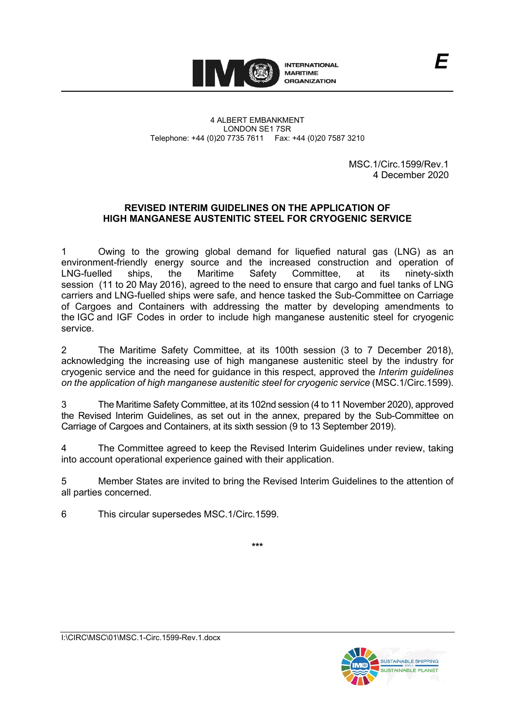

4 ALBERT EMBANKMENT LONDON SE1 7SR Telephone: +44 (0)20 7735 7611 Fax: +44 (0)20 7587 3210

> MSC.1/Circ.1599/Rev.1 4 December 2020

*E*

## **REVISED INTERIM GUIDELINES ON THE APPLICATION OF HIGH MANGANESE AUSTENITIC STEEL FOR CRYOGENIC SERVICE**

1 Owing to the growing global demand for liquefied natural gas (LNG) as an environment-friendly energy source and the increased construction and operation of LNG-fuelled ships, the Maritime Safety Committee, at its ninety-sixth session (11 to 20 May 2016), agreed to the need to ensure that cargo and fuel tanks of LNG carriers and LNG-fuelled ships were safe, and hence tasked the Sub-Committee on Carriage of Cargoes and Containers with addressing the matter by developing amendments to the IGC and IGF Codes in order to include high manganese austenitic steel for cryogenic service.

2 The Maritime Safety Committee, at its 100th session (3 to 7 December 2018), acknowledging the increasing use of high manganese austenitic steel by the industry for cryogenic service and the need for guidance in this respect, approved the *Interim guidelines on the application of high manganese austenitic steel for cryogenic service* (MSC.1/Circ.1599).

3 The Maritime Safety Committee, at its 102nd session (4 to 11 November 2020), approved the Revised Interim Guidelines, as set out in the annex, prepared by the Sub-Committee on Carriage of Cargoes and Containers, at its sixth session (9 to 13 September 2019).

4 The Committee agreed to keep the Revised Interim Guidelines under review, taking into account operational experience gained with their application.

5 Member States are invited to bring the Revised Interim Guidelines to the attention of all parties concerned.

6 This circular supersedes MSC.1/Circ.1599.

**\*\*\***

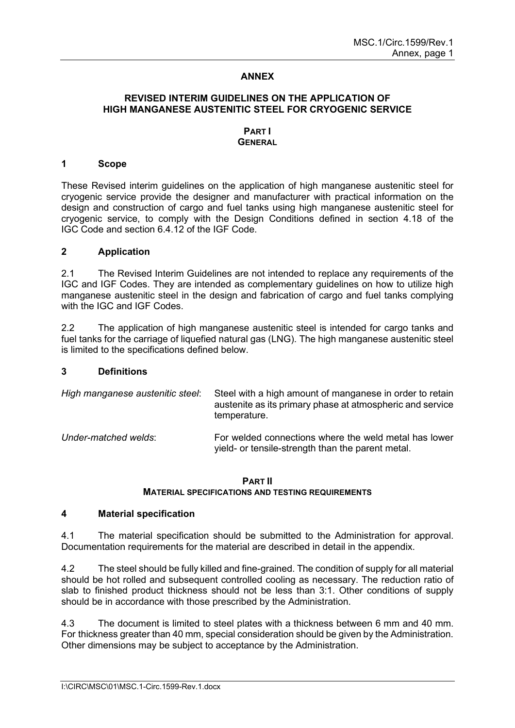## **ANNEX**

## **REVISED INTERIM GUIDELINES ON THE APPLICATION OF HIGH MANGANESE AUSTENITIC STEEL FOR CRYOGENIC SERVICE**

### **PART I GENERAL**

### **1 Scope**

These Revised interim guidelines on the application of high manganese austenitic steel for cryogenic service provide the designer and manufacturer with practical information on the design and construction of cargo and fuel tanks using high manganese austenitic steel for cryogenic service, to comply with the Design Conditions defined in section 4.18 of the IGC Code and section 6.4.12 of the IGF Code.

### **2 Application**

2.1 The Revised Interim Guidelines are not intended to replace any requirements of the IGC and IGF Codes. They are intended as complementary guidelines on how to utilize high manganese austenitic steel in the design and fabrication of cargo and fuel tanks complying with the IGC and IGF Codes.

2.2 The application of high manganese austenitic steel is intended for cargo tanks and fuel tanks for the carriage of liquefied natural gas (LNG). The high manganese austenitic steel is limited to the specifications defined below.

### **3 Definitions**

| High manganese austenitic steel: | Steel with a high amount of manganese in order to retain<br>austenite as its primary phase at atmospheric and service<br>temperature. |
|----------------------------------|---------------------------------------------------------------------------------------------------------------------------------------|
| Under-matched welds:             | For welded connections where the weld metal has lower<br>yield- or tensile-strength than the parent metal.                            |

### **PART II MATERIAL SPECIFICATIONS AND TESTING REQUIREMENTS**

### **4 Material specification**

4.1 The material specification should be submitted to the Administration for approval. Documentation requirements for the material are described in detail in the appendix.

4.2 The steel should be fully killed and fine-grained. The condition of supply for all material should be hot rolled and subsequent controlled cooling as necessary. The reduction ratio of slab to finished product thickness should not be less than 3:1. Other conditions of supply should be in accordance with those prescribed by the Administration.

4.3 The document is limited to steel plates with a thickness between 6 mm and 40 mm. For thickness greater than 40 mm, special consideration should be given by the Administration. Other dimensions may be subject to acceptance by the Administration.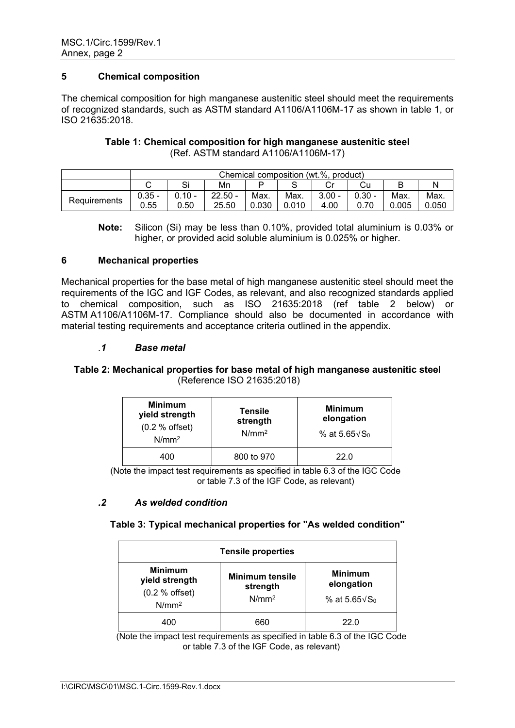## **5 Chemical composition**

The chemical composition for high manganese austenitic steel should meet the requirements of recognized standards, such as ASTM standard A1106/A1106M-17 as shown in table 1, or ISO 21635:2018.

## **Table 1: Chemical composition for high manganese austenitic steel**  (Ref. ASTM standard A1106/A1106M-17)

|              | Chemical composition (wt.%, product) |                  |                    |               |               |                  |                  |               |               |
|--------------|--------------------------------------|------------------|--------------------|---------------|---------------|------------------|------------------|---------------|---------------|
|              | Si<br>Mn<br>Cu                       |                  |                    |               |               |                  |                  |               |               |
| Requirements | $0.35 -$<br>0.55                     | $0.10 -$<br>0.50 | $22.50 -$<br>25.50 | Max.<br>0.030 | Max.<br>0.010 | $3.00 -$<br>4.00 | $0.30 -$<br>0.70 | Max.<br>0.005 | Max.<br>ა.050 |

**Note:** Silicon (Si) may be less than 0.10%, provided total aluminium is 0.03% or higher, or provided acid soluble aluminium is 0.025% or higher.

## **6 Mechanical properties**

Mechanical properties for the base metal of high manganese austenitic steel should meet the requirements of the IGC and IGF Codes, as relevant, and also recognized standards applied to chemical composition, such as ISO 21635:2018 (ref table 2 below) or ASTM A1106/A1106M-17. Compliance should also be documented in accordance with material testing requirements and acceptance criteria outlined in the appendix.

## *.1 Base metal*

## **Table 2: Mechanical properties for base metal of high manganese austenitic steel** (Reference ISO 21635:2018)

| <b>Minimum</b><br>yield strength<br>(0.2 % of fset)<br>$N/mm^2$ | <b>Tensile</b><br>strength<br>N/mm <sup>2</sup> | <b>Minimum</b><br>elongation<br>% at $5.65\sqrt{S_0}$ |
|-----------------------------------------------------------------|-------------------------------------------------|-------------------------------------------------------|
| 400                                                             | 800 to 970                                      | 22.0                                                  |

(Note the impact test requirements as specified in table 6.3 of the IGC Code or table 7.3 of the IGF Code, as relevant)

## *.2 As welded condition*

## **Table 3: Typical mechanical properties for "As welded condition"**

| <b>Tensile properties</b>                                                |                                                         |                                                       |  |  |  |  |  |
|--------------------------------------------------------------------------|---------------------------------------------------------|-------------------------------------------------------|--|--|--|--|--|
| <b>Minimum</b><br>yield strength<br>(0.2 % of fset)<br>N/mm <sup>2</sup> | <b>Minimum tensile</b><br>strength<br>N/mm <sup>2</sup> | <b>Minimum</b><br>elongation<br>% at $5.65\sqrt{S_0}$ |  |  |  |  |  |
| 400                                                                      | 660                                                     | 22.0                                                  |  |  |  |  |  |

(Note the impact test requirements as specified in table 6.3 of the IGC Code or table 7.3 of the IGF Code, as relevant)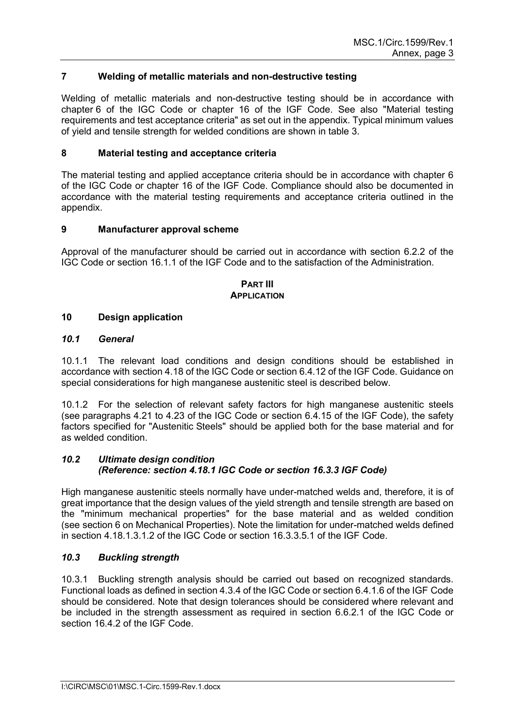## **7 Welding of metallic materials and non-destructive testing**

Welding of metallic materials and non-destructive testing should be in accordance with chapter 6 of the IGC Code or chapter 16 of the IGF Code. See also "Material testing requirements and test acceptance criteria" as set out in the appendix. Typical minimum values of yield and tensile strength for welded conditions are shown in table 3.

### **8 Material testing and acceptance criteria**

The material testing and applied acceptance criteria should be in accordance with chapter 6 of the IGC Code or chapter 16 of the IGF Code. Compliance should also be documented in accordance with the material testing requirements and acceptance criteria outlined in the appendix.

### **9 Manufacturer approval scheme**

Approval of the manufacturer should be carried out in accordance with section 6.2.2 of the IGC Code or section 16.1.1 of the IGF Code and to the satisfaction of the Administration.

### **PART III APPLICATION**

### **10 Design application**

### *10.1 General*

10.1.1 The relevant load conditions and design conditions should be established in accordance with section 4.18 of the IGC Code or section 6.4.12 of the IGF Code. Guidance on special considerations for high manganese austenitic steel is described below.

10.1.2 For the selection of relevant safety factors for high manganese austenitic steels (see paragraphs 4.21 to 4.23 of the IGC Code or section 6.4.15 of the IGF Code), the safety factors specified for "Austenitic Steels" should be applied both for the base material and for as welded condition.

### *10.2 Ultimate design condition (Reference: section 4.18.1 IGC Code or section 16.3.3 IGF Code)*

High manganese austenitic steels normally have under-matched welds and, therefore, it is of great importance that the design values of the yield strength and tensile strength are based on the "minimum mechanical properties" for the base material and as welded condition (see section 6 on Mechanical Properties). Note the limitation for under-matched welds defined in section 4.18.1.3.1.2 of the IGC Code or section 16.3.3.5.1 of the IGF Code.

## *10.3 Buckling strength*

10.3.1 Buckling strength analysis should be carried out based on recognized standards. Functional loads as defined in section 4.3.4 of the IGC Code or section 6.4.1.6 of the IGF Code should be considered. Note that design tolerances should be considered where relevant and be included in the strength assessment as required in section 6.6.2.1 of the IGC Code or section 16.4.2 of the IGF Code.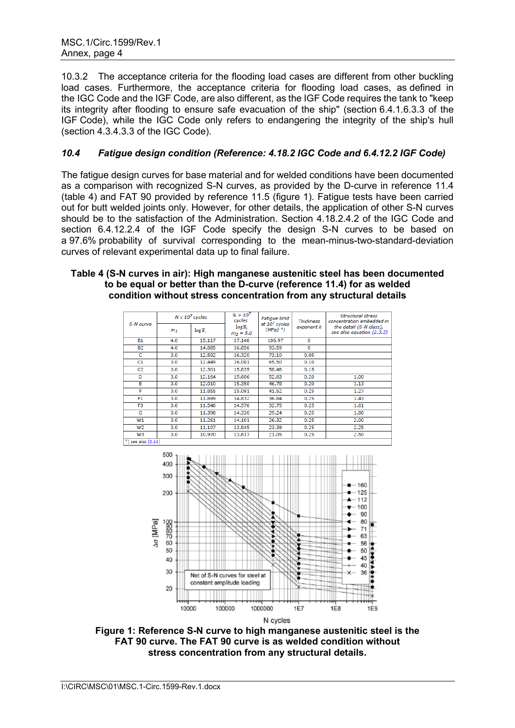10.3.2 The acceptance criteria for the flooding load cases are different from other buckling load cases. Furthermore, the acceptance criteria for flooding load cases, as defined in the IGC Code and the IGF Code, are also different, as the IGF Code requires the tank to "keep its integrity after flooding to ensure safe evacuation of the ship" (section 6.4.1.6.3.3 of the IGF Code), while the IGC Code only refers to endangering the integrity of the ship's hull (section 4.3.4.3.3 of the IGC Code).

# *10.4 Fatigue design condition (Reference: 4.18.2 IGC Code and 6.4.12.2 IGF Code)*

The fatigue design curves for base material and for welded conditions have been documented as a comparison with recognized S-N curves, as provided by the D-curve in reference 11.4 (table 4) and FAT 90 provided by reference 11.5 (figure 1). Fatigue tests have been carried out for butt welded joints only. However, for other details, the application of other S-N curves should be to the satisfaction of the Administration. Section 4.18.2.4.2 of the IGC Code and section 6.4.12.2.4 of the IGF Code specify the design S-N curves to be based on a 97.6% probability of survival corresponding to the mean-minus-two-standard-deviation curves of relevant experimental data up to final failure.

### **Table 4 (S-N curves in air): High manganese austenitic steel has been documented to be equal or better than the D-curve (reference 11.4) for as welded condition without stress concentration from any structural details**

| S-N curve       | $N \le 10^7$ cycles |                     | $N > 10^{7}$<br>cycles               | Fatigue limit                           | <b>Thickness</b> | <b>Structural stress</b><br>concentration embedded in |  |  |
|-----------------|---------------------|---------------------|--------------------------------------|-----------------------------------------|------------------|-------------------------------------------------------|--|--|
|                 | m <sub>1</sub>      | $\log \overline{a}$ | $\log \overline{a}$ ,<br>$m_2 = 5.0$ | at 10 <sup>7</sup> cycles<br>$(MPa)$ *) | exponent k       | the detail (S-N class),<br>see also equation (2.3.2)  |  |  |
| <b>B1</b>       | 4.0                 | 15.117              | 17.146                               | 106.97                                  | 0                |                                                       |  |  |
| <b>B2</b>       | 4.0                 | 14.885              | 16.856                               | 93.59                                   | 0                |                                                       |  |  |
| c               | 3.0                 | 12.592              | 16.320                               | 73.10                                   | 0.05             |                                                       |  |  |
| C1              | 3.0                 | 12,449              | 16.081                               | 65.50                                   | 0.10             |                                                       |  |  |
| C2              | 3.0                 | 12,301              | 15.835                               | 58.48                                   | 0.15             |                                                       |  |  |
| D               | 3.0                 | 12.164              | 15.606                               | 52.63                                   | 0.20             | 1.00                                                  |  |  |
| Ε               | 3.0                 | 12.010              | 15.350                               | 46.78                                   | 0.20             | 1.13                                                  |  |  |
| F               | 3.0                 | 11.855              | 15.091                               | 41.52                                   | 0.25             | 1.27                                                  |  |  |
| F <sub>1</sub>  | 3.0                 | 11.699              | 14.832                               | 36.84                                   | 0.25             | 1.43                                                  |  |  |
| F <sub>3</sub>  | 3.0                 | 11.546              | 14.576                               | 32.75                                   | 0.25             | 1.61                                                  |  |  |
| G               | 3.0                 | 11.398              | 14.330                               | 29.24                                   | 0.25             | 1.80                                                  |  |  |
| W1              | 3.0                 | 11.261              | 14.101                               | 26.32                                   | 0.25             | 2.00                                                  |  |  |
| W <sub>2</sub>  | 3.0                 | 11.107              | 13.845                               | 23.39                                   | 0.25             | 2.25                                                  |  |  |
| W3              | 3.0                 | 10.970              | 13.617                               | 21.05                                   | 0.25             | 2.50                                                  |  |  |
| see also [2.11] |                     |                     |                                      |                                         |                  |                                                       |  |  |



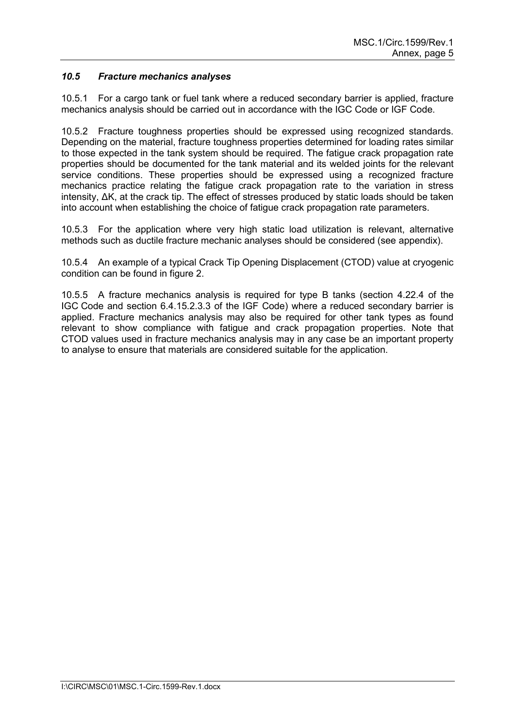# *10.5 Fracture mechanics analyses*

10.5.1 For a cargo tank or fuel tank where a reduced secondary barrier is applied, fracture mechanics analysis should be carried out in accordance with the IGC Code or IGF Code.

10.5.2 Fracture toughness properties should be expressed using recognized standards. Depending on the material, fracture toughness properties determined for loading rates similar to those expected in the tank system should be required. The fatigue crack propagation rate properties should be documented for the tank material and its welded joints for the relevant service conditions. These properties should be expressed using a recognized fracture mechanics practice relating the fatigue crack propagation rate to the variation in stress intensity, ΔK, at the crack tip. The effect of stresses produced by static loads should be taken into account when establishing the choice of fatigue crack propagation rate parameters.

10.5.3 For the application where very high static load utilization is relevant, alternative methods such as ductile fracture mechanic analyses should be considered (see appendix).

10.5.4 An example of a typical Crack Tip Opening Displacement (CTOD) value at cryogenic condition can be found in figure 2.

10.5.5 A fracture mechanics analysis is required for type B tanks (section 4.22.4 of the IGC Code and section 6.4.15.2.3.3 of the IGF Code) where a reduced secondary barrier is applied. Fracture mechanics analysis may also be required for other tank types as found relevant to show compliance with fatigue and crack propagation properties. Note that CTOD values used in fracture mechanics analysis may in any case be an important property to analyse to ensure that materials are considered suitable for the application.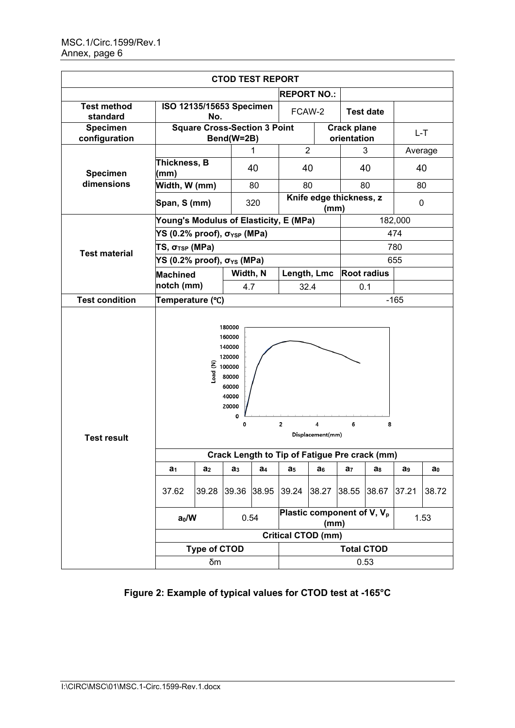| <b>CTOD TEST REPORT</b>          |                                                   |                      |                                                                           |                |                                                |                       |                |                                          |                |                |  |
|----------------------------------|---------------------------------------------------|----------------------|---------------------------------------------------------------------------|----------------|------------------------------------------------|-----------------------|----------------|------------------------------------------|----------------|----------------|--|
|                                  |                                                   |                      |                                                                           |                | <b>REPORT NO.:</b>                             |                       |                |                                          |                |                |  |
| <b>Test method</b><br>standard   | ISO 12135/15653 Specimen<br>No.                   |                      |                                                                           |                | FCAW-2                                         |                       |                | <b>Test date</b>                         |                |                |  |
| <b>Specimen</b><br>configuration | <b>Square Cross-Section 3 Point</b><br>Bend(W=2B) |                      |                                                                           |                |                                                |                       |                | <b>Crack plane</b><br>L-T<br>orientation |                |                |  |
|                                  |                                                   |                      |                                                                           | 1              | $\overline{2}$                                 |                       |                | 3                                        | Average        |                |  |
| <b>Specimen</b>                  | Thickness, B<br>(mm)                              |                      |                                                                           | 40             | 40                                             |                       |                | 40                                       |                | 40             |  |
| dimensions                       | Width, W (mm)                                     |                      |                                                                           | 80             | 80                                             |                       |                | 80                                       | 80             |                |  |
|                                  | 320<br>Span, S (mm)                               |                      |                                                                           |                | Knife edge thickness, z<br>(mm)                |                       |                |                                          |                | 0              |  |
|                                  | Young's Modulus of Elasticity, E (MPa)            |                      |                                                                           |                |                                                |                       |                |                                          | 182,000        |                |  |
|                                  | YS (0.2% proof), $\sigma_{\text{YSP}}$ (MPa)      |                      |                                                                           |                |                                                |                       | 474            |                                          |                |                |  |
| <b>Test material</b>             | TS, $\sigma$ <sub>TSP</sub> (MPa)                 |                      |                                                                           |                |                                                |                       |                | 780                                      |                |                |  |
|                                  | YS (0.2% proof), $\sigma_{YS}$ (MPa)              |                      |                                                                           |                |                                                |                       |                |                                          | 655            |                |  |
|                                  | <b>Machined</b>                                   |                      | Width, N                                                                  |                | Length, Lmc                                    |                       |                | <b>Root radius</b>                       |                |                |  |
|                                  |                                                   | notch (mm)           |                                                                           | 4.7            | 32.4                                           |                       |                | 0.1                                      |                |                |  |
| <b>Test condition</b>            | Temperature (°C)                                  |                      |                                                                           |                |                                                |                       |                | $-165$                                   |                |                |  |
| <b>Test result</b>               |                                                   | $\frac{2}{3}$ 100000 | 180000<br>160000<br>140000<br>120000<br>60000<br>40000<br>20000<br>0<br>0 |                | $\overline{2}$                                 | 4<br>Displacement(mm) | 6              | 8                                        |                |                |  |
|                                  | Crack Length to Tip of Fatigue Pre crack (mm)     |                      |                                                                           |                |                                                |                       |                |                                          |                |                |  |
|                                  | a <sub>1</sub>                                    | a <sub>2</sub>       | a <sub>3</sub>                                                            | a <sub>4</sub> | a <sub>5</sub>                                 | $a_6$                 | a <sub>7</sub> | $a_8$                                    | a <sub>9</sub> | a <sub>0</sub> |  |
|                                  | 37.62                                             | 39.28                | 39.36                                                                     | 38.95          | 39.24                                          | 38.27                 | 38.55          | 38.67                                    | 37.21          | 38.72          |  |
|                                  | 0.54<br>$a_0/W$                                   |                      |                                                                           |                | Plastic component of V, V <sub>p</sub><br>(mm) |                       |                |                                          | 1.53           |                |  |
|                                  | <b>Critical CTOD (mm)</b>                         |                      |                                                                           |                |                                                |                       |                |                                          |                |                |  |
|                                  | <b>Type of CTOD</b>                               |                      |                                                                           |                | <b>Total CTOD</b>                              |                       |                |                                          |                |                |  |
|                                  | δm                                                |                      |                                                                           |                | 0.53                                           |                       |                |                                          |                |                |  |

**Figure 2: Example of typical values for CTOD test at -165°C**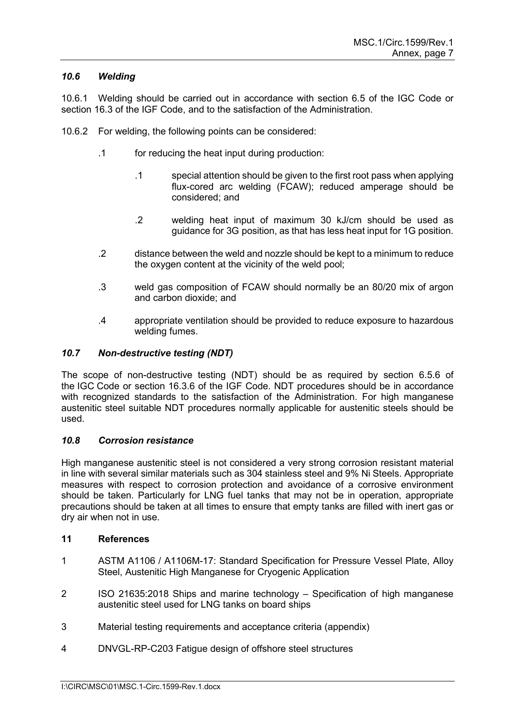## *10.6 Welding*

10.6.1 Welding should be carried out in accordance with section 6.5 of the IGC Code or section 16.3 of the IGF Code, and to the satisfaction of the Administration.

- 10.6.2 For welding, the following points can be considered:
	- .1 for reducing the heat input during production:
		- .1 special attention should be given to the first root pass when applying flux-cored arc welding (FCAW); reduced amperage should be considered; and
		- .2 welding heat input of maximum 30 kJ/cm should be used as guidance for 3G position, as that has less heat input for 1G position.
	- .2 distance between the weld and nozzle should be kept to a minimum to reduce the oxygen content at the vicinity of the weld pool;
	- .3 weld gas composition of FCAW should normally be an 80/20 mix of argon and carbon dioxide; and
	- .4 appropriate ventilation should be provided to reduce exposure to hazardous welding fumes.

## *10.7 Non-destructive testing (NDT)*

The scope of non-destructive testing (NDT) should be as required by section 6.5.6 of the IGC Code or section 16.3.6 of the IGF Code. NDT procedures should be in accordance with recognized standards to the satisfaction of the Administration. For high manganese austenitic steel suitable NDT procedures normally applicable for austenitic steels should be used.

## *10.8 Corrosion resistance*

High manganese austenitic steel is not considered a very strong corrosion resistant material in line with several similar materials such as 304 stainless steel and 9% Ni Steels. Appropriate measures with respect to corrosion protection and avoidance of a corrosive environment should be taken. Particularly for LNG fuel tanks that may not be in operation, appropriate precautions should be taken at all times to ensure that empty tanks are filled with inert gas or dry air when not in use.

## **11 References**

- 1 ASTM A1106 / A1106M-17: Standard Specification for Pressure Vessel Plate, Alloy Steel, Austenitic High Manganese for Cryogenic Application
- 2 ISO 21635:2018 Ships and marine technology Specification of high manganese austenitic steel used for LNG tanks on board ships
- 3 Material testing requirements and acceptance criteria (appendix)
- 4 DNVGL-RP-C203 Fatigue design of offshore steel structures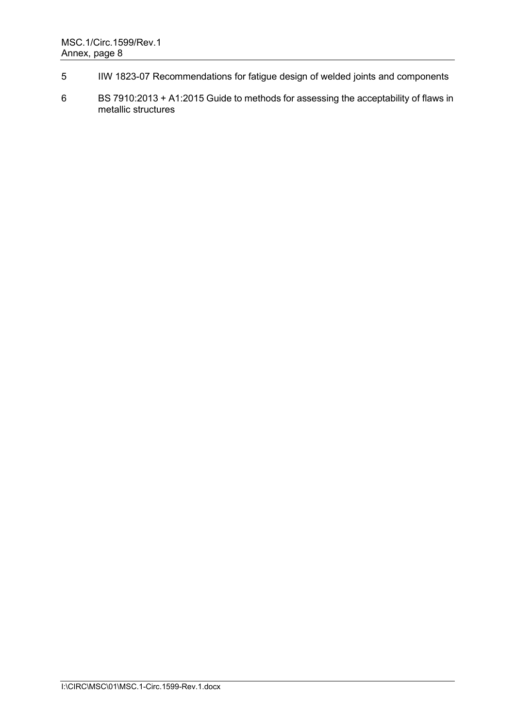- 5 IIW 1823-07 Recommendations for fatigue design of welded joints and components
- 6 BS 7910:2013 + A1:2015 Guide to methods for assessing the acceptability of flaws in metallic structures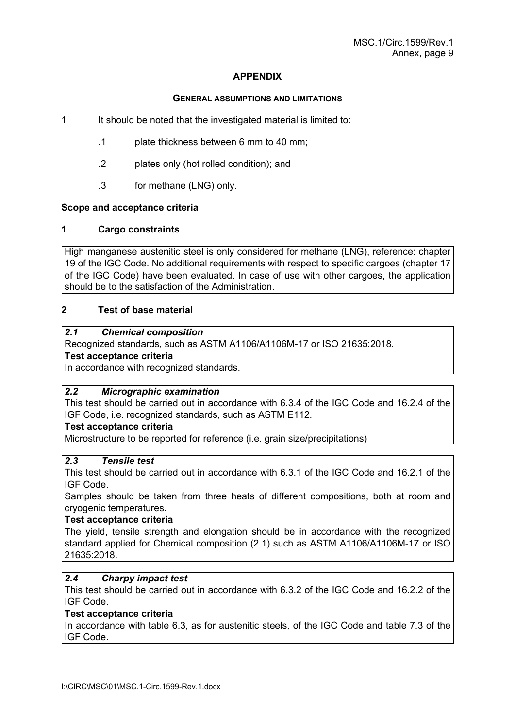# **APPENDIX**

### **GENERAL ASSUMPTIONS AND LIMITATIONS**

- 1 It should be noted that the investigated material is limited to:
	- .1 plate thickness between 6 mm to 40 mm;
	- .2 plates only (hot rolled condition); and
	- .3 for methane (LNG) only.

# **Scope and acceptance criteria**

## **1 Cargo constraints**

High manganese austenitic steel is only considered for methane (LNG), reference: chapter 19 of the IGC Code. No additional requirements with respect to specific cargoes (chapter 17 of the IGC Code) have been evaluated. In case of use with other cargoes, the application should be to the satisfaction of the Administration.

## **2 Test of base material**

# *2.1 Chemical composition*

Recognized standards, such as ASTM A1106/A1106M-17 or ISO 21635:2018.

# **Test acceptance criteria**

In accordance with recognized standards.

## *2.2 Micrographic examination*

This test should be carried out in accordance with 6.3.4 of the IGC Code and 16.2.4 of the IGF Code, i.e. recognized standards, such as ASTM E112.

## **Test acceptance criteria**

Microstructure to be reported for reference (i.e. grain size/precipitations)

## *2.3 Tensile test*

This test should be carried out in accordance with 6.3.1 of the IGC Code and 16.2.1 of the IGF Code.

Samples should be taken from three heats of different compositions, both at room and cryogenic temperatures.

## **Test acceptance criteria**

The yield, tensile strength and elongation should be in accordance with the recognized standard applied for Chemical composition (2.1) such as ASTM A1106/A1106M-17 or ISO 21635:2018.

## *2.4 Charpy impact test*

This test should be carried out in accordance with 6.3.2 of the IGC Code and 16.2.2 of the IGF Code.

## **Test acceptance criteria**

In accordance with table 6.3, as for austenitic steels, of the IGC Code and table 7.3 of the IGF Code.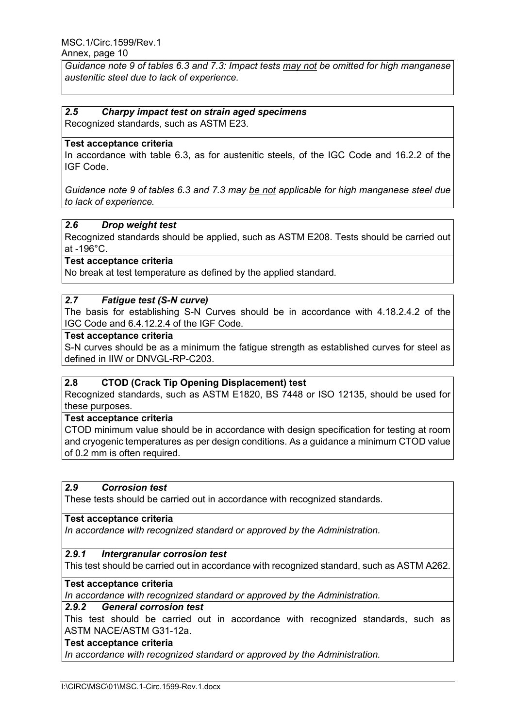*Guidance note 9 of tables 6.3 and 7.3: Impact tests may not be omitted for high manganese austenitic steel due to lack of experience.*

# *2.5 Charpy impact test on strain aged specimens*

Recognized standards, such as ASTM E23.

# **Test acceptance criteria**

In accordance with table 6.3, as for austenitic steels, of the IGC Code and 16.2.2 of the IGF Code.

*Guidance note 9 of tables 6.3 and 7.3 may be not applicable for high manganese steel due to lack of experience.* 

## *2.6 Drop weight test*

Recognized standards should be applied, such as ASTM E208. Tests should be carried out at -196°C.

# **Test acceptance criteria**

No break at test temperature as defined by the applied standard.

# *2.7 Fatigue test (S-N curve)*

The basis for establishing S-N Curves should be in accordance with 4.18.2.4.2 of the IGC Code and 6.4.12.2.4 of the IGF Code.

### **Test acceptance criteria**

S-N curves should be as a minimum the fatigue strength as established curves for steel as defined in IIW or DNVGL-RP-C203.

## **2.8 CTOD (Crack Tip Opening Displacement) test**

Recognized standards, such as ASTM E1820, BS 7448 or ISO 12135, should be used for these purposes.

### **Test acceptance criteria**

CTOD minimum value should be in accordance with design specification for testing at room and cryogenic temperatures as per design conditions. As a guidance a minimum CTOD value of 0.2 mm is often required.

## *2.9 Corrosion test*

These tests should be carried out in accordance with recognized standards.

### **Test acceptance criteria**

*In accordance with recognized standard or approved by the Administration.* 

### *2.9.1 Intergranular corrosion test*

This test should be carried out in accordance with recognized standard, such as ASTM A262.

# **Test acceptance criteria**

*In accordance with recognized standard or approved by the Administration.* 

### *2.9.2 General corrosion test*

This test should be carried out in accordance with recognized standards, such as ASTM NACE/ASTM G31-12a.

## **Test acceptance criteria**

*In accordance with recognized standard or approved by the Administration.*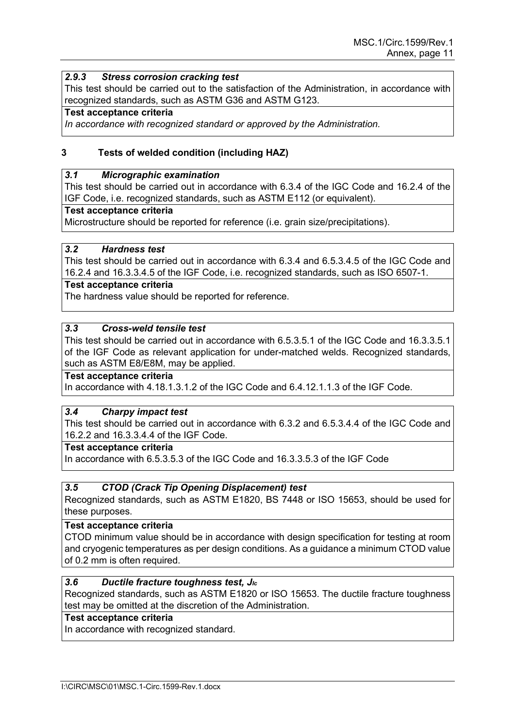## *2.9.3 Stress corrosion cracking test*

This test should be carried out to the satisfaction of the Administration, in accordance with recognized standards, such as ASTM G36 and ASTM G123.

### **Test acceptance criteria**

*In accordance with recognized standard or approved by the Administration.* 

## **3 Tests of welded condition (including HAZ)**

### *3.1 Micrographic examination*

This test should be carried out in accordance with 6.3.4 of the IGC Code and 16.2.4 of the IGF Code, i.e. recognized standards, such as ASTM E112 (or equivalent).

### **Test acceptance criteria**

Microstructure should be reported for reference (i.e. grain size/precipitations).

### *3.2 Hardness test*

This test should be carried out in accordance with 6.3.4 and 6.5.3.4.5 of the IGC Code and 16.2.4 and 16.3.3.4.5 of the IGF Code, i.e. recognized standards, such as ISO 6507-1.

### **Test acceptance criteria**

The hardness value should be reported for reference.

## *3.3 Cross-weld tensile test*

This test should be carried out in accordance with 6.5.3.5.1 of the IGC Code and 16.3.3.5.1 of the IGF Code as relevant application for under-matched welds. Recognized standards, such as ASTM E8/E8M, may be applied.

### **Test acceptance criteria**

In accordance with 4.18.1.3.1.2 of the IGC Code and 6.4.12.1.1.3 of the IGF Code.

## *3.4 Charpy impact test*

This test should be carried out in accordance with 6.3.2 and 6.5.3.4.4 of the IGC Code and 16.2.2 and 16.3.3.4.4 of the IGF Code.

### **Test acceptance criteria**

In accordance with 6.5.3.5.3 of the IGC Code and 16.3.3.5.3 of the IGF Code

## *3.5 CTOD (Crack Tip Opening Displacement) test*

Recognized standards, such as ASTM E1820, BS 7448 or ISO 15653, should be used for these purposes.

### **Test acceptance criteria**

CTOD minimum value should be in accordance with design specification for testing at room and cryogenic temperatures as per design conditions. As a guidance a minimum CTOD value of 0.2 mm is often required.

# *3.6 Ductile fracture toughness test, JIc*

Recognized standards, such as ASTM E1820 or ISO 15653. The ductile fracture toughness test may be omitted at the discretion of the Administration.

### **Test acceptance criteria**

In accordance with recognized standard.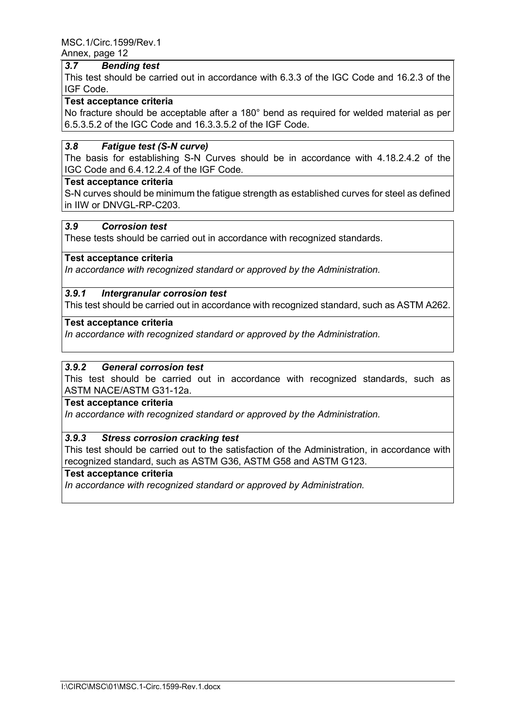### *3.7 Bending test*

This test should be carried out in accordance with 6.3.3 of the IGC Code and 16.2.3 of the IGF Code.

# **Test acceptance criteria**

No fracture should be acceptable after a 180° bend as required for welded material as per 6.5.3.5.2 of the IGC Code and 16.3.3.5.2 of the IGF Code.

## *3.8 Fatigue test (S-N curve)*

The basis for establishing S-N Curves should be in accordance with 4.18.2.4.2 of the IGC Code and 6.4.12.2.4 of the IGF Code.

### **Test acceptance criteria**

S-N curves should be minimum the fatigue strength as established curves for steel as defined in IIW or DNVGL-RP-C203.

### *3.9 Corrosion test*

These tests should be carried out in accordance with recognized standards.

### **Test acceptance criteria**

*In accordance with recognized standard or approved by the Administration.* 

### *3.9.1 Intergranular corrosion test*

This test should be carried out in accordance with recognized standard, such as ASTM A262.

### **Test acceptance criteria**

*In accordance with recognized standard or approved by the Administration.* 

### *3.9.2 General corrosion test*

This test should be carried out in accordance with recognized standards, such as ASTM NACE/ASTM G31-12a.

### **Test acceptance criteria**

*In accordance with recognized standard or approved by the Administration.* 

### *3.9.3 Stress corrosion cracking test*

This test should be carried out to the satisfaction of the Administration, in accordance with recognized standard, such as ASTM G36, ASTM G58 and ASTM G123.

## **Test acceptance criteria**

*In accordance with recognized standard or approved by Administration.*